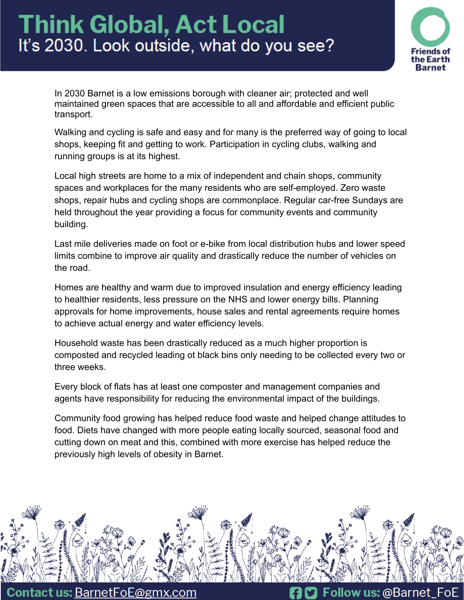

In 2030 Barnet is a low emissions borough with cleaner air; protected and well maintained green spaces that are accessible to all and affordable and efficient public transport.

Walking and cycling is safe and easy and for many is the preferred way of going to local shops, keeping fit and getting to work. Participation in cycling clubs, walking and running groups is at its highest.

Local high streets are home to a mix of independent and chain shops, community spaces and workplaces for the many residents who are self-employed. Zero waste shops, repair hubs and cycling shops are commonplace. Regular car-free Sundays are held throughout the year providing a focus for community events and community building.

Last mile deliveries made on foot or e-bike from local distribution hubs and lower speed limits combine to improve air quality and drastically reduce the number of vehicles on the road.

Homes are healthy and warm due to improved insulation and energy efficiency leading to healthier residents, less pressure on the NHS and lower energy bills. Planning approvals for home improvements, house sales and rental agreements require homes to achieve actual energy and water efficiency levels.

Household waste has been drastically reduced as a much higher proportion is composted and recycled leading ot black bins only needing to be collected every two or three weeks.

Every block of flats has at least one composter and management companies and agents have responsibility for reducing the environmental impact of the buildings.

Community food growing has helped reduce food waste and helped change attitudes to food. Diets have changed with more people eating locally sourced, seasonal food and cutting down on meat and this, combined with more exercise has helped reduce the previously high levels of obesity in Barnet.



**Contact us: BarnetFoE@gmx.com** 

Follow us: @Barnet FoE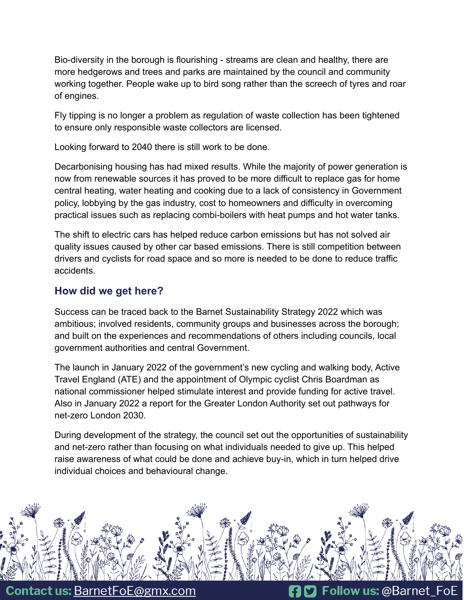Bio-diversity in the borough is flourishing - streams are clean and healthy, there are more hedgerows and trees and parks are maintained by the council and community working together. People wake up to bird song rather than the screech of tyres and roar of engines.

Fly tipping is no longer a problem as regulation of waste collection has been tightened to ensure only responsible waste collectors are licensed.

Looking forward to 2040 there is still work to be done.

Decarbonising housing has had mixed results. While the majority of power generation is now from renewable sources it has proved to be more difficult to replace gas for home central heating, water heating and cooking due to a lack of consistency in Government policy, lobbying by the gas industry, cost to homeowners and difficulty in overcoming practical issues such as replacing combi-boilers with heat pumps and hot water tanks.

The shift to electric cars has helped reduce carbon emissions but has not solved air quality issues caused by other car based emissions. There is still competition between drivers and cyclists for road space and so more is needed to be done to reduce traffic accidents.

## **How did we get here?**

Success can be traced back to the Barnet Sustainability Strategy 2022 which was ambitious; involved residents, community groups and businesses across the borough; and built on the experiences and recommendations of others including councils, local government authorities and central Government.

The launch in January 2022 of the government's new cycling and walking body, Active Travel England (ATE) and the appointment of Olympic cyclist Chris Boardman as national commissioner helped stimulate interest and provide funding for active travel. Also in January 2022 a report for the Greater London Authority set out pathways for net-zero London 2030.

During development of the strategy, the council set out the opportunities of sustainability and net-zero rather than focusing on what individuals needed to give up. This helped raise awareness of what could be done and achieve buy-in, which in turn helped drive individual choices and behavioural change.



**Contact us: BarnetFoE@gmx.com**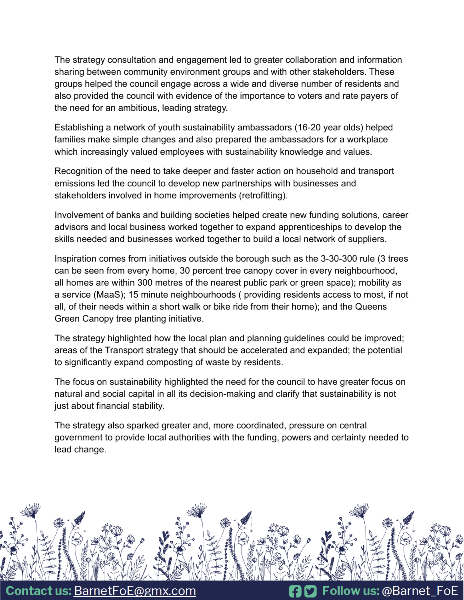The strategy consultation and engagement led to greater collaboration and information sharing between community environment groups and with other stakeholders. These groups helped the council engage across a wide and diverse number of residents and also provided the council with evidence of the importance to voters and rate payers of the need for an ambitious, leading strategy.

Establishing a network of youth sustainability ambassadors (16-20 year olds) helped families make simple changes and also prepared the ambassadors for a workplace which increasingly valued employees with sustainability knowledge and values.

Recognition of the need to take deeper and faster action on household and transport emissions led the council to develop new partnerships with businesses and stakeholders involved in home improvements (retrofitting).

Involvement of banks and building societies helped create new funding solutions, career advisors and local business worked together to expand apprenticeships to develop the skills needed and businesses worked together to build a local network of suppliers.

Inspiration comes from initiatives outside the borough such as the 3-30-300 rule (3 trees can be seen from every home, 30 percent tree canopy cover in every neighbourhood, all homes are within 300 metres of the nearest public park or green space); mobility as a service (MaaS); 15 minute neighbourhoods ( providing residents access to most, if not all, of their needs within a short walk or bike ride from their home); and the Queens Green Canopy tree planting initiative.

The strategy highlighted how the local plan and planning guidelines could be improved; areas of the Transport strategy that should be accelerated and expanded; the potential to significantly expand composting of waste by residents.

The focus on sustainability highlighted the need for the council to have greater focus on natural and social capital in all its decision-making and clarify that sustainability is not just about financial stability.

The strategy also sparked greater and, more coordinated, pressure on central government to provide local authorities with the funding, powers and certainty needed to lead change.



**Contact us: BarnetFoE@gmx.com**